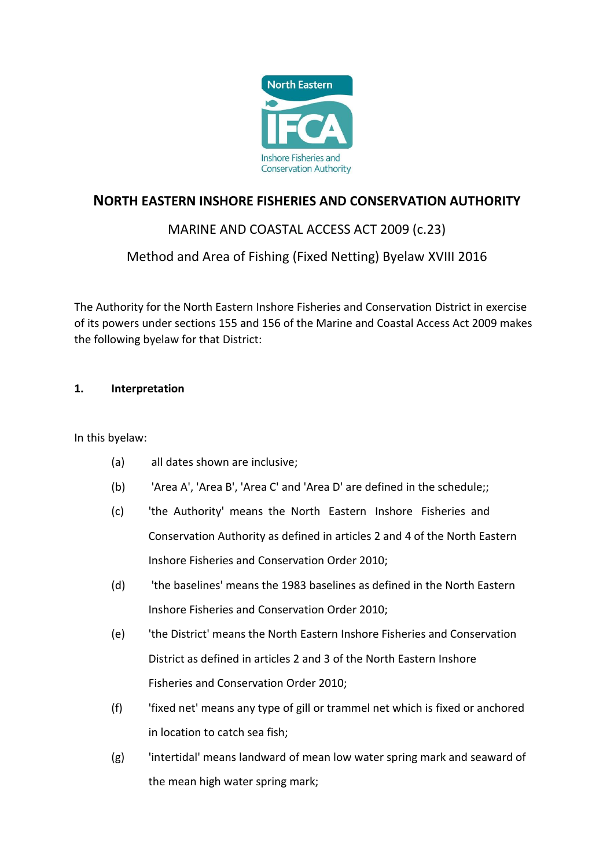

## **NORTH EASTERN INSHORE FISHERIES AND CONSERVATION AUTHORITY**

## MARINE AND COASTAL ACCESS ACT 2009 (c.23)

## Method and Area of Fishing (Fixed Netting) Byelaw XVIII 2016

The Authority for the North Eastern Inshore Fisheries and Conservation District in exercise of its powers under sections 155 and 156 of the Marine and Coastal Access Act 2009 makes the following byelaw for that District:

## **1. Interpretation**

In this byelaw:

- (a) all dates shown are inclusive;
- (b) 'Area A', 'Area B', 'Area C' and 'Area D' are defined in the schedule;;
- (c) 'the Authority' means the North Eastern Inshore Fisheries and Conservation Authority as defined in articles 2 and 4 of the North Eastern Inshore Fisheries and Conservation Order 2010;
- (d) 'the baselines' means the 1983 baselines as defined in the North Eastern Inshore Fisheries and Conservation Order 2010;
- (e) 'the District' means the North Eastern Inshore Fisheries and Conservation District as defined in articles 2 and 3 of the North Eastern Inshore Fisheries and Conservation Order 2010;
- (f) 'fixed net' means any type of gill or trammel net which is fixed or anchored in location to catch sea fish;
- (g) 'intertidal' means landward of mean low water spring mark and seaward of the mean high water spring mark;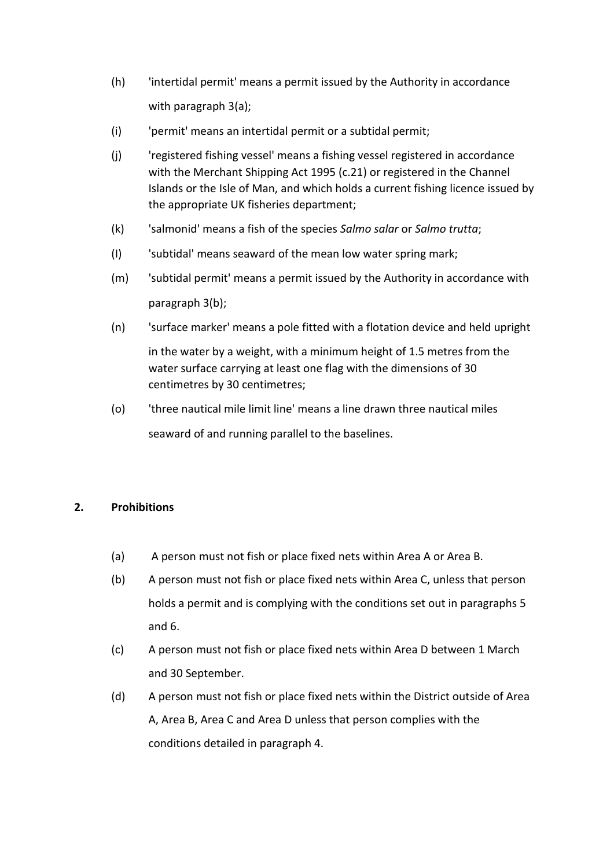- (h) 'intertidal permit' means a permit issued by the Authority in accordance with paragraph 3(a);
- (i) 'permit' means an intertidal permit or a subtidal permit;
- (j) 'registered fishing vessel' means a fishing vessel registered in accordance with the Merchant Shipping Act 1995 (c.21) or registered in the Channel Islands or the Isle of Man, and which holds a current fishing licence issued by the appropriate UK fisheries department;
- (k) 'salmonid' means a fish of the species *Salmo salar* or *Salmo trutta*;
- (I) 'subtidal' means seaward of the mean low water spring mark;
- (m) 'subtidal permit' means a permit issued by the Authority in accordance with paragraph 3(b);
- (n) 'surface marker' means a pole fitted with a flotation device and held upright in the water by a weight, with a minimum height of 1.5 metres from the water surface carrying at least one flag with the dimensions of 30 centimetres by 30 centimetres;
- (o) 'three nautical mile limit line' means a line drawn three nautical miles seaward of and running parallel to the baselines.

## **2. Prohibitions**

- (a) A person must not fish or place fixed nets within Area A or Area B.
- (b) A person must not fish or place fixed nets within Area C, unless that person holds a permit and is complying with the conditions set out in paragraphs 5 and 6.
- (c) A person must not fish or place fixed nets within Area D between 1 March and 30 September.
- (d) A person must not fish or place fixed nets within the District outside of Area A, Area B, Area C and Area D unless that person complies with the conditions detailed in paragraph 4.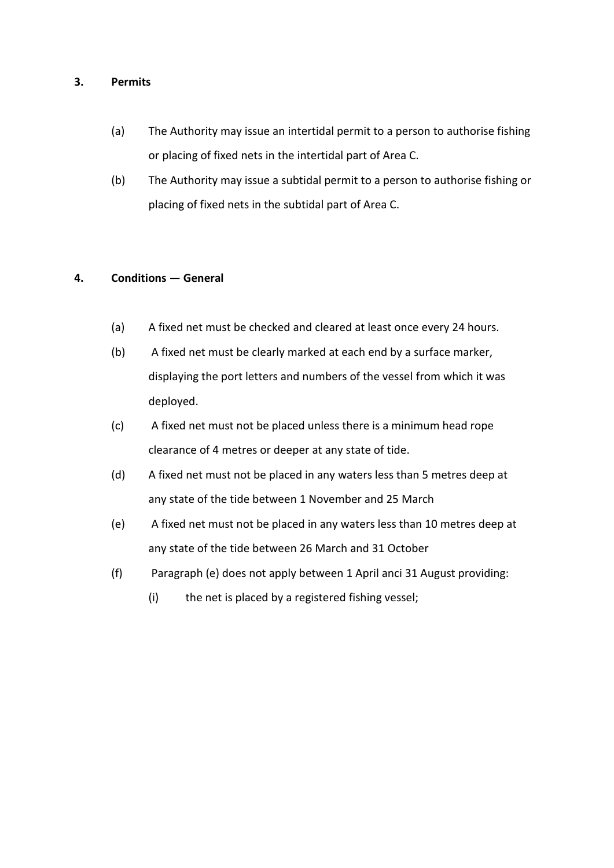#### **3. Permits**

- (a) The Authority may issue an intertidal permit to a person to authorise fishing or placing of fixed nets in the intertidal part of Area C.
- (b) The Authority may issue a subtidal permit to a person to authorise fishing or placing of fixed nets in the subtidal part of Area C.

## **4. Conditions — General**

- (a) A fixed net must be checked and cleared at least once every 24 hours.
- (b) A fixed net must be clearly marked at each end by a surface marker, displaying the port letters and numbers of the vessel from which it was deployed.
- (c) A fixed net must not be placed unless there is a minimum head rope clearance of 4 metres or deeper at any state of tide.
- (d) A fixed net must not be placed in any waters less than 5 metres deep at any state of the tide between 1 November and 25 March
- (e) A fixed net must not be placed in any waters less than 10 metres deep at any state of the tide between 26 March and 31 October
- (f) Paragraph (e) does not apply between 1 April anci 31 August providing:
	- (i) the net is placed by a registered fishing vessel;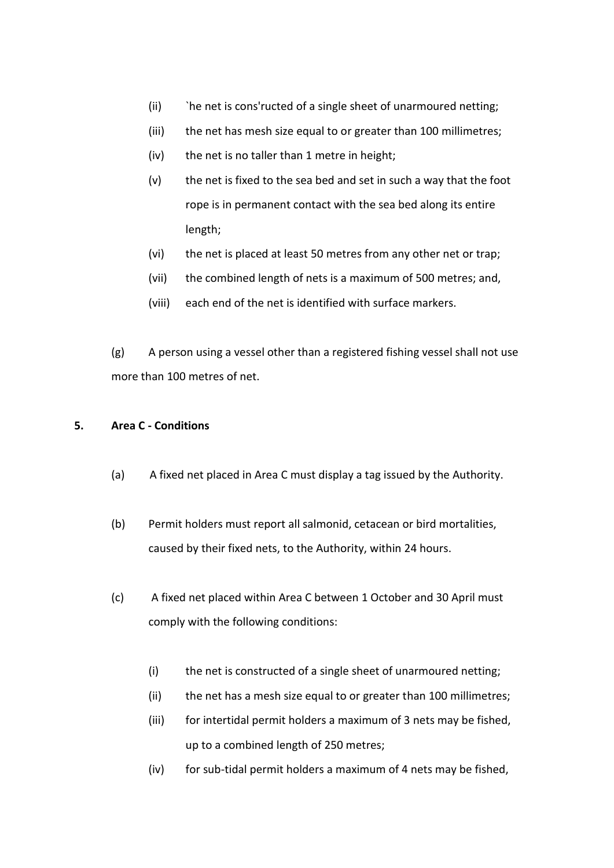- (ii) The net is cons'ructed of a single sheet of unarmoured netting;
- (iii) the net has mesh size equal to or greater than 100 millimetres;
- (iv) the net is no taller than 1 metre in height;
- (v) the net is fixed to the sea bed and set in such a way that the foot rope is in permanent contact with the sea bed along its entire length;
- (vi) the net is placed at least 50 metres from any other net or trap;
- (vii) the combined length of nets is a maximum of 500 metres; and,
- (viii) each end of the net is identified with surface markers.

(g) A person using a vessel other than a registered fishing vessel shall not use more than 100 metres of net.

#### **5. Area C - Conditions**

- (a) A fixed net placed in Area C must display a tag issued by the Authority.
- (b) Permit holders must report all salmonid, cetacean or bird mortalities, caused by their fixed nets, to the Authority, within 24 hours.
- (c) A fixed net placed within Area C between 1 October and 30 April must comply with the following conditions:
	- (i) the net is constructed of a single sheet of unarmoured netting;
	- (ii) the net has a mesh size equal to or greater than 100 millimetres;
	- (iii) for intertidal permit holders a maximum of 3 nets may be fished, up to a combined length of 250 metres;
	- (iv) for sub-tidal permit holders a maximum of 4 nets may be fished,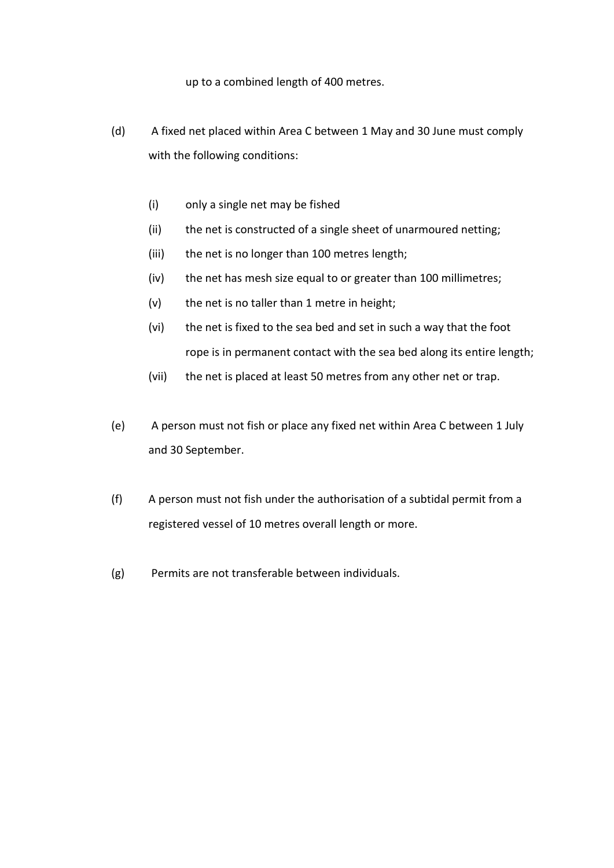up to a combined length of 400 metres.

- (d) A fixed net placed within Area C between 1 May and 30 June must comply with the following conditions:
	- (i) only a single net may be fished
	- (ii) the net is constructed of a single sheet of unarmoured netting;
	- (iii) the net is no longer than 100 metres length;
	- (iv) the net has mesh size equal to or greater than 100 millimetres;
	- (v) the net is no taller than 1 metre in height;
	- (vi) the net is fixed to the sea bed and set in such a way that the foot rope is in permanent contact with the sea bed along its entire length;
	- (vii) the net is placed at least 50 metres from any other net or trap.
- (e) A person must not fish or place any fixed net within Area C between 1 July and 30 September.
- (f) A person must not fish under the authorisation of a subtidal permit from a registered vessel of 10 metres overall length or more.
- (g) Permits are not transferable between individuals.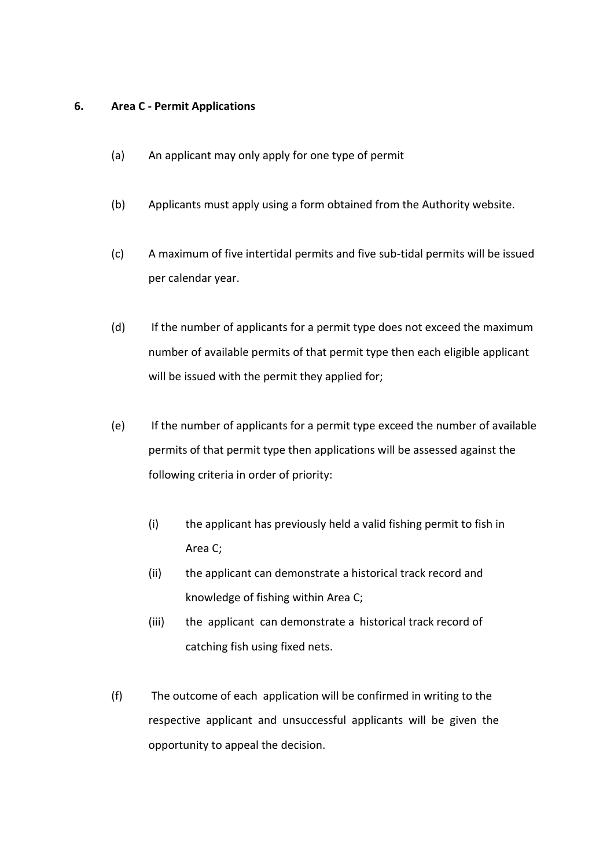#### **6. Area C - Permit Applications**

- (a) An applicant may only apply for one type of permit
- (b) Applicants must apply using a form obtained from the Authority website.
- (c) A maximum of five intertidal permits and five sub-tidal permits will be issued per calendar year.
- (d) If the number of applicants for a permit type does not exceed the maximum number of available permits of that permit type then each eligible applicant will be issued with the permit they applied for;
- (e) If the number of applicants for a permit type exceed the number of available permits of that permit type then applications will be assessed against the following criteria in order of priority:
	- (i) the applicant has previously held a valid fishing permit to fish in Area C;
	- (ii) the applicant can demonstrate a historical track record and knowledge of fishing within Area C;
	- (iii) the applicant can demonstrate a historical track record of catching fish using fixed nets.
- (f) The outcome of each application will be confirmed in writing to the respective applicant and unsuccessful applicants will be given the opportunity to appeal the decision.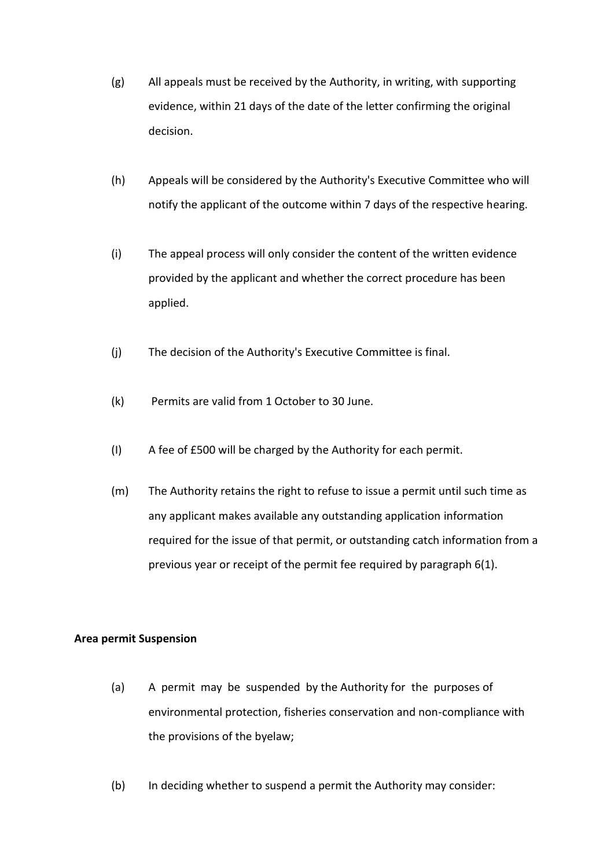- (g) All appeals must be received by the Authority, in writing, with supporting evidence, within 21 days of the date of the letter confirming the original decision.
- (h) Appeals will be considered by the Authority's Executive Committee who will notify the applicant of the outcome within 7 days of the respective hearing.
- (i) The appeal process will only consider the content of the written evidence provided by the applicant and whether the correct procedure has been applied.
- (j) The decision of the Authority's Executive Committee is final.
- (k) Permits are valid from 1 October to 30 June.
- (I) A fee of £500 will be charged by the Authority for each permit.
- (m) The Authority retains the right to refuse to issue a permit until such time as any applicant makes available any outstanding application information required for the issue of that permit, or outstanding catch information from a previous year or receipt of the permit fee required by paragraph 6(1).

#### **Area permit Suspension**

- (a) A permit may be suspended by the Authority for the purposes of environmental protection, fisheries conservation and non-compliance with the provisions of the byelaw;
- (b) In deciding whether to suspend a permit the Authority may consider: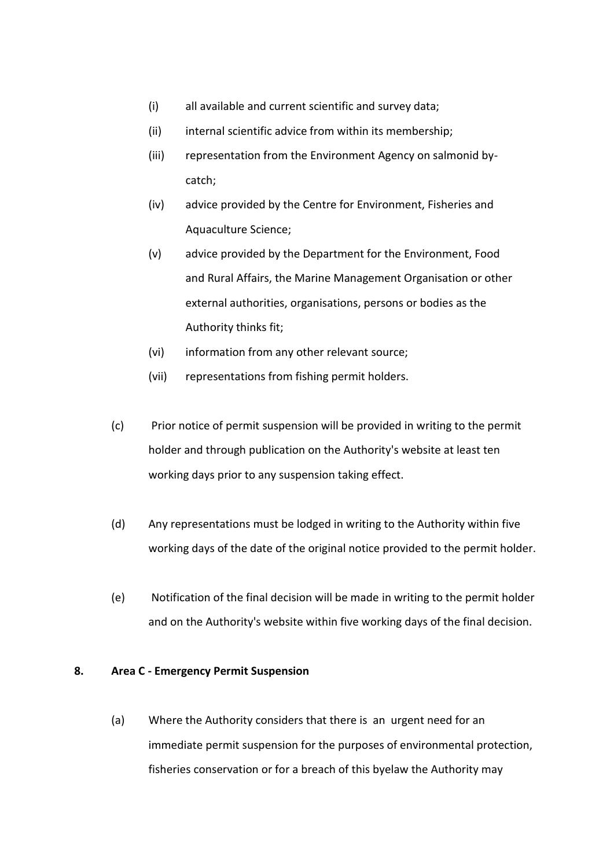- (i) all available and current scientific and survey data;
- (ii) internal scientific advice from within its membership;
- (iii) representation from the Environment Agency on salmonid bycatch;
- (iv) advice provided by the Centre for Environment, Fisheries and Aquaculture Science;
- (v) advice provided by the Department for the Environment, Food and Rural Affairs, the Marine Management Organisation or other external authorities, organisations, persons or bodies as the Authority thinks fit;
- (vi) information from any other relevant source;
- (vii) representations from fishing permit holders.
- (c) Prior notice of permit suspension will be provided in writing to the permit holder and through publication on the Authority's website at least ten working days prior to any suspension taking effect.
- (d) Any representations must be lodged in writing to the Authority within five working days of the date of the original notice provided to the permit holder.
- (e) Notification of the final decision will be made in writing to the permit holder and on the Authority's website within five working days of the final decision.

#### **8. Area C - Emergency Permit Suspension**

(a) Where the Authority considers that there is an urgent need for an immediate permit suspension for the purposes of environmental protection, fisheries conservation or for a breach of this byelaw the Authority may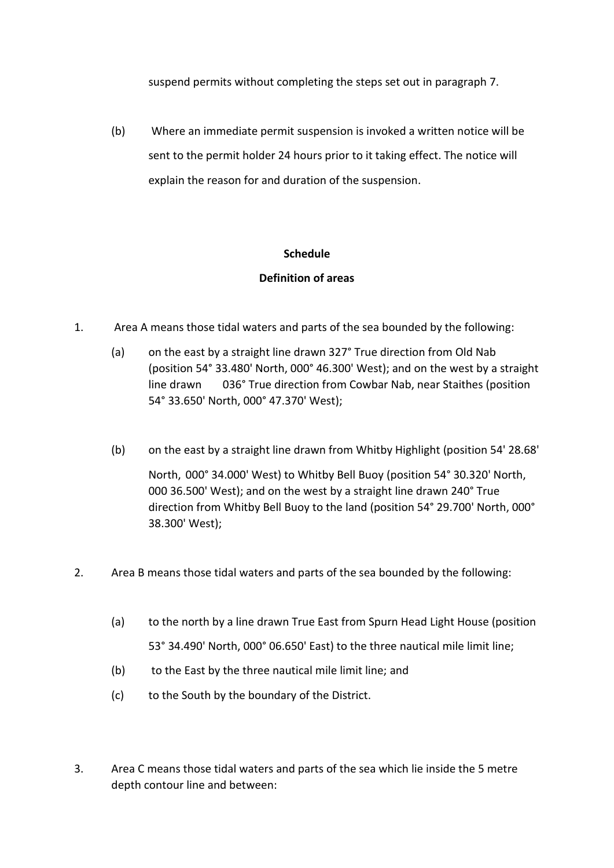suspend permits without completing the steps set out in paragraph 7.

(b) Where an immediate permit suspension is invoked a written notice will be sent to the permit holder 24 hours prior to it taking effect. The notice will explain the reason for and duration of the suspension.

## **Schedule**

## **Definition of areas**

- 1. Area A means those tidal waters and parts of the sea bounded by the following:
	- (a) on the east by a straight line drawn 327° True direction from Old Nab (position 54° 33.480' North, 000° 46.300' West); and on the west by a straight line drawn 036° True direction from Cowbar Nab, near Staithes (position 54° 33.650' North, 000° 47.370' West);
	- (b) on the east by a straight line drawn from Whitby Highlight (position 54' 28.68'

North, 000° 34.000' West) to Whitby Bell Buoy (position 54° 30.320' North, 000 36.500' West); and on the west by a straight line drawn 240° True direction from Whitby Bell Buoy to the land (position 54° 29.700' North, 000° 38.300' West);

- 2. Area B means those tidal waters and parts of the sea bounded by the following:
	- (a) to the north by a line drawn True East from Spurn Head Light House (position 53° 34.490' North, 000° 06.650' East) to the three nautical mile limit line;
	- (b) to the East by the three nautical mile limit line; and
	- (c) to the South by the boundary of the District.
- 3. Area C means those tidal waters and parts of the sea which lie inside the 5 metre depth contour line and between: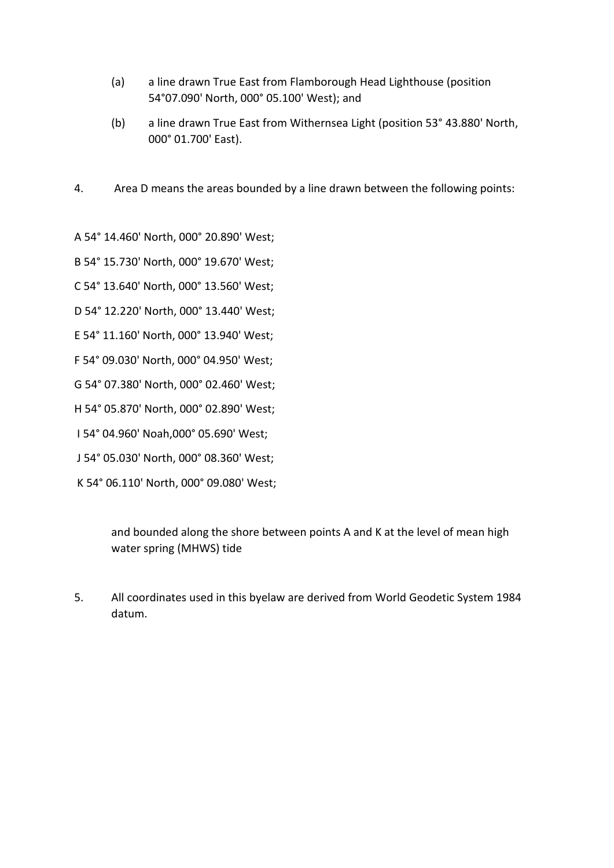- (a) a line drawn True East from Flamborough Head Lighthouse (position 54°07.090' North, 000° 05.100' West); and
- (b) a line drawn True East from Withernsea Light (position 53° 43.880' North, 000° 01.700' East).
- 4. Area D means the areas bounded by a line drawn between the following points:

```
A 54° 14.460' North, 000° 20.890' West;
```

```
B 54° 15.730' North, 000° 19.670' West;
```
- C 54° 13.640' North, 000° 13.560' West;
- D 54° 12.220' North, 000° 13.440' West;
- E 54° 11.160' North, 000° 13.940' West;
- F 54° 09.030' North, 000° 04.950' West;
- G 54° 07.380' North, 000° 02.460' West;
- H 54° 05.870' North, 000° 02.890' West;
- I 54° 04.960' Noah,000° 05.690' West;
- J 54° 05.030' North, 000° 08.360' West;
- K 54° 06.110' North, 000° 09.080' West;

and bounded along the shore between points A and K at the level of mean high water spring (MHWS) tide

5. All coordinates used in this byelaw are derived from World Geodetic System 1984 datum.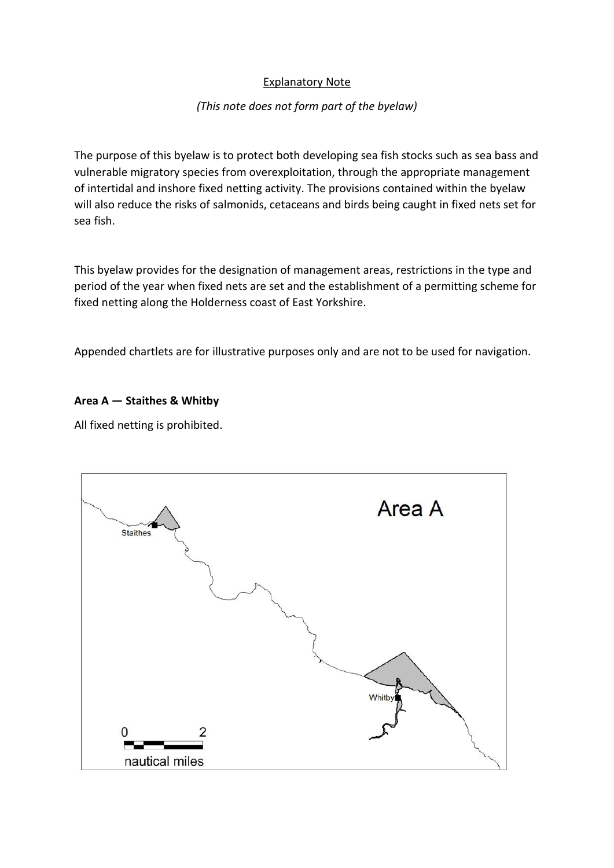## Explanatory Note

## *(This note does not form part of the byelaw)*

The purpose of this byelaw is to protect both developing sea fish stocks such as sea bass and vulnerable migratory species from overexploitation, through the appropriate management of intertidal and inshore fixed netting activity. The provisions contained within the byelaw will also reduce the risks of salmonids, cetaceans and birds being caught in fixed nets set for sea fish.

This byelaw provides for the designation of management areas, restrictions in the type and period of the year when fixed nets are set and the establishment of a permitting scheme for fixed netting along the Holderness coast of East Yorkshire.

Appended chartlets are for illustrative purposes only and are not to be used for navigation.

#### **Area A — Staithes & Whitby**

All fixed netting is prohibited.

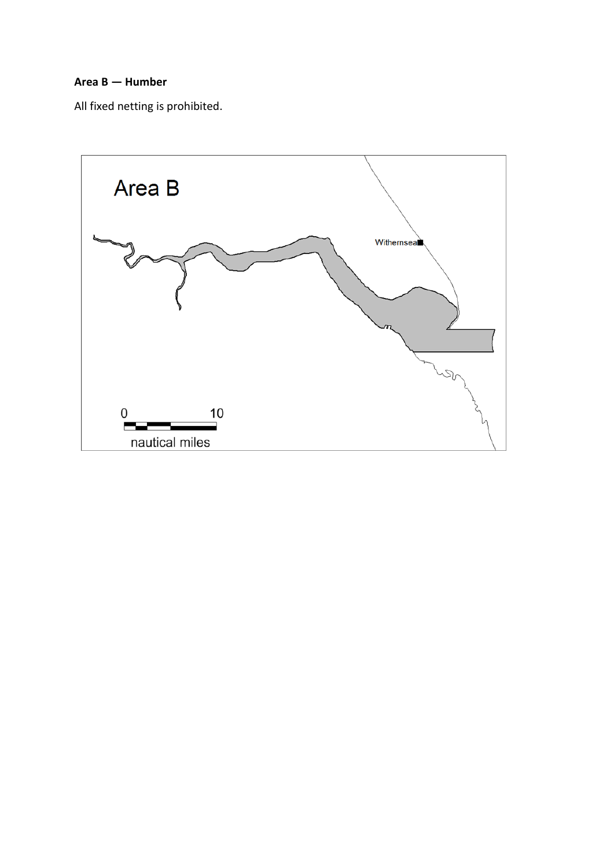#### **Area B — Humber**

All fixed netting is prohibited.

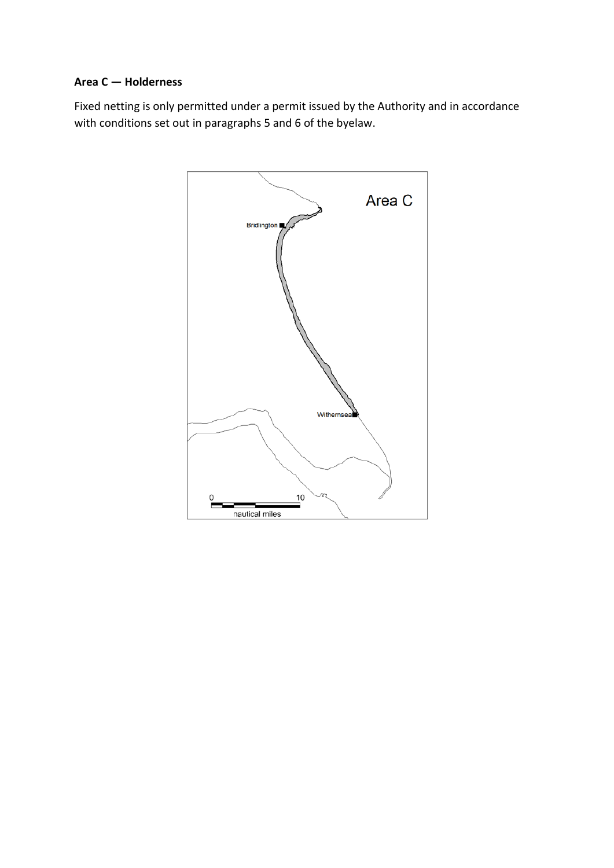#### **Area C — Holderness**

Fixed netting is only permitted under a permit issued by the Authority and in accordance with conditions set out in paragraphs 5 and 6 of the byelaw.